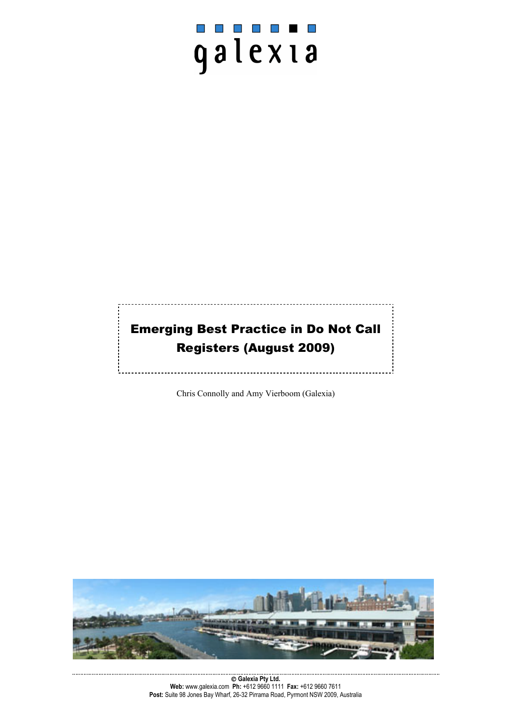# $\mathcal{L}^{\mathcal{A}}$ galexia

# Emerging Best Practice in Do Not Call Registers (August 2009)

Chris Connolly and Amy Vierboom (Galexia)

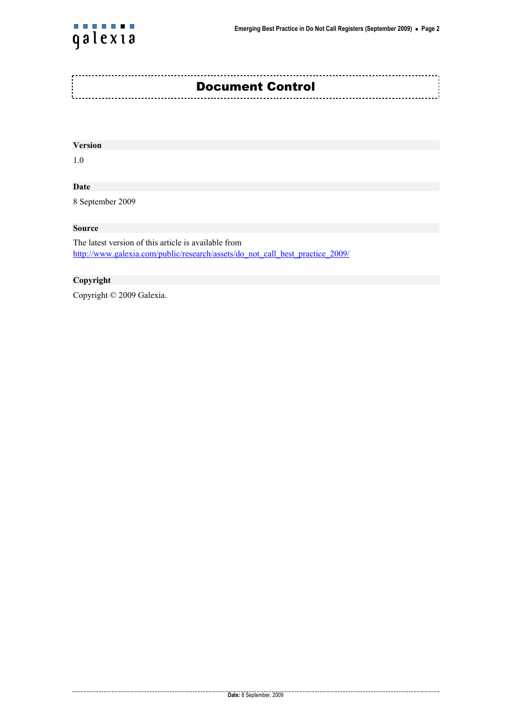

#### **Version**

1.0

#### **Date**

8 September 2009

#### **Source**

The latest version of this article is available from http://www.galexia.com/public/research/assets/do\_not\_call\_best\_practice\_2009/

#### **Copyright**

 $\begin{minipage}{.4\linewidth} \begin{minipage}{.4\linewidth} \begin{minipage}{.4\linewidth} \end{minipage} \end{minipage} \begin{minipage}{.4\linewidth} \begin{minipage}{.4\linewidth} \begin{minipage}{.4\linewidth} \end{minipage} \end{minipage} \end{minipage} \begin{minipage}{.4\linewidth} \begin{minipage}{.4\linewidth} \begin{minipage}{.4\linewidth} \end{minipage} \end{minipage} \end{minipage} \begin{minipage}{.4\linewidth} \begin{minipage}{.4\linewidth} \begin{minipage}{.4\linewidth} \end{minipage} \end{minipage} \end{minipage$ 

Copyright © 2009 Galexia.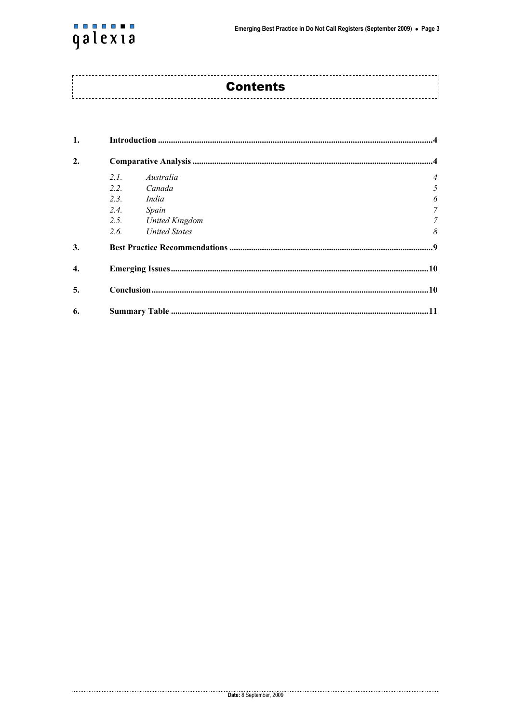

| <b>Contents</b> |
|-----------------|
|                 |
|                 |

| 1.               |      |                       |                |  |  |  |  |
|------------------|------|-----------------------|----------------|--|--|--|--|
| $\overline{2}$   |      |                       |                |  |  |  |  |
|                  | 2L   | Australia             | $\overline{4}$ |  |  |  |  |
|                  | 2.2. | Canada                | 5              |  |  |  |  |
|                  | 2.3. | India                 | 6              |  |  |  |  |
|                  | 2.4. | Spain                 | 7              |  |  |  |  |
|                  | 2.5. | <b>United Kingdom</b> | $\mathcal{T}$  |  |  |  |  |
|                  | 2.6. | <b>United States</b>  | 8              |  |  |  |  |
| 3.               |      |                       |                |  |  |  |  |
| $\overline{4}$ . |      |                       |                |  |  |  |  |
| 5.               |      |                       |                |  |  |  |  |
| 6.               |      |                       |                |  |  |  |  |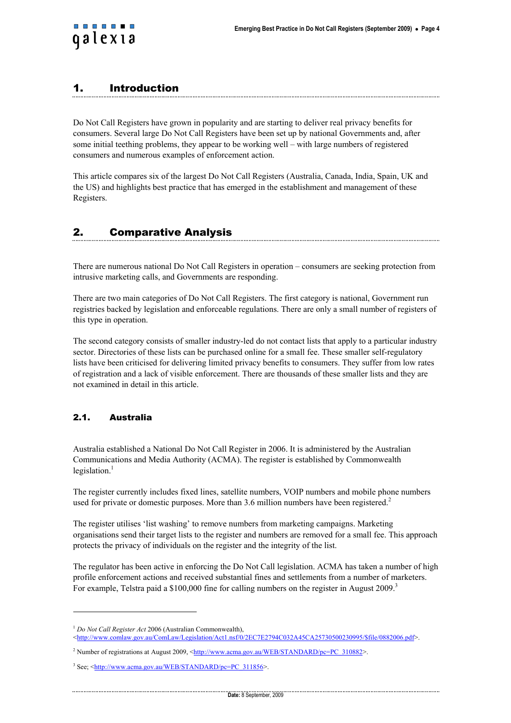<span id="page-3-0"></span>

## 1. Introduction

Do Not Call Registers have grown in popularity and are starting to deliver real privacy benefits for consumers. Several large Do Not Call Registers have been set up by national Governments and, after some initial teething problems, they appear to be working well – with large numbers of registered consumers and numerous examples of enforcement action.

This article compares six of the largest Do Not Call Registers (Australia, Canada, India, Spain, UK and the US) and highlights best practice that has emerged in the establishment and management of these Registers.

# 2. Comparative Analysis

There are numerous national Do Not Call Registers in operation – consumers are seeking protection from intrusive marketing calls, and Governments are responding.

There are two main categories of Do Not Call Registers. The first category is national, Government run registries backed by legislation and enforceable regulations. There are only a small number of registers of this type in operation.

The second category consists of smaller industry-led do not contact lists that apply to a particular industry sector. Directories of these lists can be purchased online for a small fee. These smaller self-regulatory lists have been criticised for delivering limited privacy benefits to consumers. They suffer from low rates of registration and a lack of visible enforcement. There are thousands of these smaller lists and they are not examined in detail in this article.

#### 2.1. Australia

l

Australia established a National Do Not Call Register in 2006. It is administered by the Australian Communications and Media Authority (ACMA). The register is established by Commonwealth legislation. $<sup>1</sup>$ </sup>

The register currently includes fixed lines, satellite numbers, VOIP numbers and mobile phone numbers used for private or domestic purposes. More than 3.6 million numbers have been registered.<sup>2</sup>

The register utilises 'list washing' to remove numbers from marketing campaigns. Marketing organisations send their target lists to the register and numbers are removed for a small fee. This approach protects the privacy of individuals on the register and the integrity of the list.

The regulator has been active in enforcing the Do Not Call legislation. ACMA has taken a number of high profile enforcement actions and received substantial fines and settlements from a number of marketers. For example, Telstra paid a \$100,000 fine for calling numbers on the register in August 2009.<sup>3</sup>

<sup>1</sup> *Do Not Call Register Act* 2006 (Australian Commonwealth),

<sup>&</sup>lt;http://www.comlaw.gov.au/ComLaw/Legislation/Act1.nsf/0/2EC7E2794C032A45CA25730500230995/\$file/0882006.pdf>.

<sup>&</sup>lt;sup>2</sup> Number of registrations at August 2009, <http://www.acma.gov.au/WEB/STANDARD/pc=PC\_310882>.

<sup>&</sup>lt;sup>3</sup> See; <http://www.acma.gov.au/WEB/STANDARD/pc=PC\_311856>.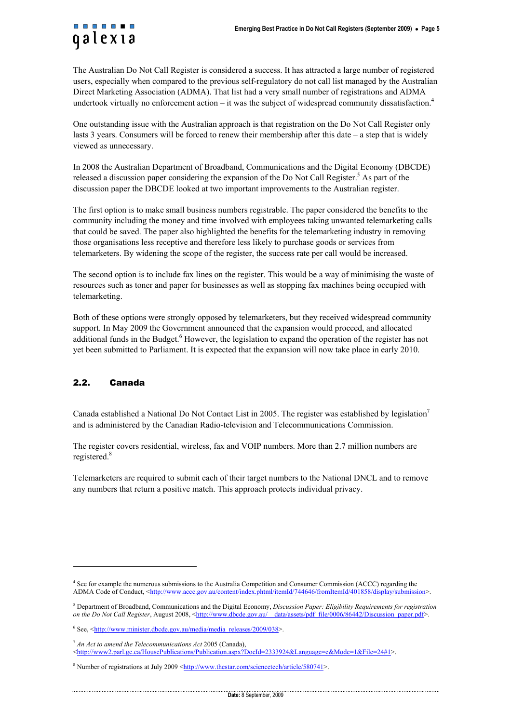<span id="page-4-0"></span>

The Australian Do Not Call Register is considered a success. It has attracted a large number of registered users, especially when compared to the previous self-regulatory do not call list managed by the Australian Direct Marketing Association (ADMA). That list had a very small number of registrations and ADMA undertook virtually no enforcement action – it was the subject of widespread community dissatisfaction.<sup>4</sup>

One outstanding issue with the Australian approach is that registration on the Do Not Call Register only lasts 3 years. Consumers will be forced to renew their membership after this date – a step that is widely viewed as unnecessary.

In 2008 the Australian Department of Broadband, Communications and the Digital Economy (DBCDE) released a discussion paper considering the expansion of the Do Not Call Register.<sup>5</sup> As part of the discussion paper the DBCDE looked at two important improvements to the Australian register.

The first option is to make small business numbers registrable. The paper considered the benefits to the community including the money and time involved with employees taking unwanted telemarketing calls that could be saved. The paper also highlighted the benefits for the telemarketing industry in removing those organisations less receptive and therefore less likely to purchase goods or services from telemarketers. By widening the scope of the register, the success rate per call would be increased.

The second option is to include fax lines on the register. This would be a way of minimising the waste of resources such as toner and paper for businesses as well as stopping fax machines being occupied with telemarketing.

Both of these options were strongly opposed by telemarketers, but they received widespread community support. In May 2009 the Government announced that the expansion would proceed, and allocated additional funds in the Budget.<sup>6</sup> However, the legislation to expand the operation of the register has not yet been submitted to Parliament. It is expected that the expansion will now take place in early 2010.

#### 2.2. Canada

l

Canada established a National Do Not Contact List in 2005. The register was established by legislation<sup>7</sup> and is administered by the Canadian Radio-television and Telecommunications Commission.

The register covers residential, wireless, fax and VOIP numbers. More than 2.7 million numbers are registered.<sup>8</sup>

Telemarketers are required to submit each of their target numbers to the National DNCL and to remove any numbers that return a positive match. This approach protects individual privacy.

<sup>&</sup>lt;sup>4</sup> See for example the numerous submissions to the Australia Competition and Consumer Commission (ACCC) regarding the ADMA Code of Conduct, <http://www.accc.gov.au/content/index.phtml/itemId/744646/fromItemId/401858/display/submission>

<sup>5</sup> Department of Broadband, Communications and the Digital Economy, *Discussion Paper: Eligibility Requirements for registration on the Do Not Call Register*, August 2008, <http://www.dbcde.gov.au/\_\_data/assets/pdf\_file/0006/86442/Discussion\_paper.pdf>.

 $6$  See,  $\frac{\text{http://www.minister.dbcde.gov.au/media/media releases/2009/038>}}{1}$ .

<sup>7</sup> *An Act to amend the Telecommunications Act* 2005 (Canada),

<sup>&</sup>lt;http://www2.parl.gc.ca/HousePublications/Publication.aspx?DocId=2333924&Language=e&Mode=1&File=24#1>.

<sup>&</sup>lt;sup>8</sup> Number of registrations at July 2009 <http://www.thestar.com/sciencetech/article/580741>.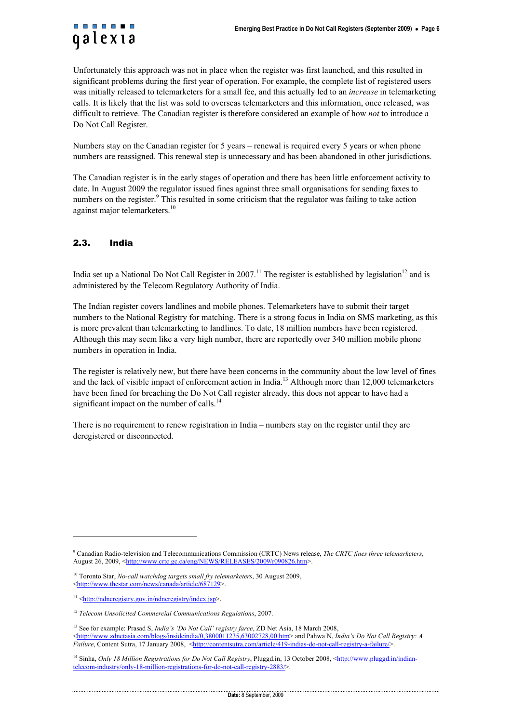<span id="page-5-0"></span>Unfortunately this approach was not in place when the register was first launched, and this resulted in significant problems during the first year of operation. For example, the complete list of registered users was initially released to telemarketers for a small fee, and this actually led to an *increase* in telemarketing calls. It is likely that the list was sold to overseas telemarketers and this information, once released, was difficult to retrieve. The Canadian register is therefore considered an example of how *not* to introduce a Do Not Call Register.

Numbers stay on the Canadian register for 5 years – renewal is required every 5 years or when phone numbers are reassigned. This renewal step is unnecessary and has been abandoned in other jurisdictions.

The Canadian register is in the early stages of operation and there has been little enforcement activity to date. In August 2009 the regulator issued fines against three small organisations for sending faxes to numbers on the register.<sup>9</sup> This resulted in some criticism that the regulator was failing to take action against major telemarketers.<sup>10</sup>

#### 2.3. India

India set up a National Do Not Call Register in 2007.<sup>11</sup> The register is established by legislation<sup>12</sup> and is administered by the Telecom Regulatory Authority of India.

The Indian register covers landlines and mobile phones. Telemarketers have to submit their target numbers to the National Registry for matching. There is a strong focus in India on SMS marketing, as this is more prevalent than telemarketing to landlines. To date, 18 million numbers have been registered. Although this may seem like a very high number, there are reportedly over 340 million mobile phone numbers in operation in India.

The register is relatively new, but there have been concerns in the community about the low level of fines and the lack of visible impact of enforcement action in India.<sup>13</sup> Although more than 12,000 telemarketers have been fined for breaching the Do Not Call register already, this does not appear to have had a significant impact on the number of calls.<sup>14</sup>

There is no requirement to renew registration in India – numbers stay on the register until they are deregistered or disconnected.

l

<sup>9</sup> Canadian Radio-television and Telecommunications Commission (CRTC) News release, *The CRTC fines three telemarketers*, August 26, 2009, <http://www.crtc.gc.ca/eng/NEWS/RELEASES/2009/r090826.htm>.

<sup>10</sup> Toronto Star, *No-call watchdog targets small fry telemarketers*, 30 August 2009, <http://www.thestar.com/news/canada/article/687129>.

 $11$  <http://ndncregistry.gov.in/ndncregistry/index.jsp>.

<sup>12</sup> *Telecom Unsolicited Commercial Communications Regulations*, 2007.

<sup>13</sup> See for example: Prasad S, *India's 'Do Not Call' registry farce*, ZD Net Asia, 18 March 2008, <http://www.zdnetasia.com/blogs/insideindia/0,3800011235,63002728,00.htm> and Pahwa N, *India's Do Not Call Registry: A Failure*, Content Sutra, 17 January 2008, <http://contentsutra.com/article/419-indias-do-not-call-registry-a-failure/>

<sup>&</sup>lt;sup>14</sup> Sinha, *Only 18 Million Registrations for Do Not Call Registry*, Pluggd.in, 13 October 2008, <http://www.pluggd.in/indiantelecom-industry/only-18-million-registrations-for-do-not-call-registry-2883/>.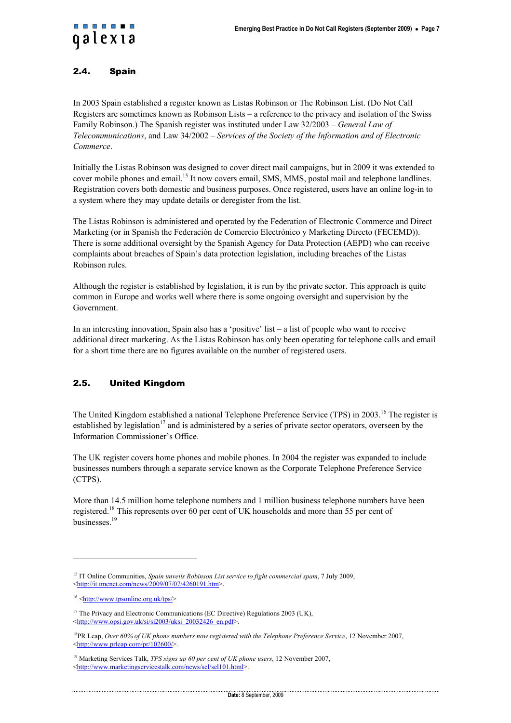### <span id="page-6-0"></span>2.4. Spain

In 2003 Spain established a register known as Listas Robinson or The Robinson List. (Do Not Call Registers are sometimes known as Robinson Lists – a reference to the privacy and isolation of the Swiss Family Robinson.) The Spanish register was instituted under Law 32/2003 – *General Law of Telecommunications*, and Law 34/2002 – *Services of the Society of the Information and of Electronic Commerce*.

Initially the Listas Robinson was designed to cover direct mail campaigns, but in 2009 it was extended to cover mobile phones and email.<sup>15</sup> It now covers email, SMS, MMS, postal mail and telephone landlines. Registration covers both domestic and business purposes. Once registered, users have an online log-in to a system where they may update details or deregister from the list.

The Listas Robinson is administered and operated by the Federation of Electronic Commerce and Direct Marketing (or in Spanish the Federación de Comercio Electrónico y Marketing Directo (FECEMD)). There is some additional oversight by the Spanish Agency for Data Protection (AEPD) who can receive complaints about breaches of Spain's data protection legislation, including breaches of the Listas Robinson rules.

Although the register is established by legislation, it is run by the private sector. This approach is quite common in Europe and works well where there is some ongoing oversight and supervision by the Government.

In an interesting innovation, Spain also has a 'positive' list – a list of people who want to receive additional direct marketing. As the Listas Robinson has only been operating for telephone calls and email for a short time there are no figures available on the number of registered users.

#### 2.5. United Kingdom

The United Kingdom established a national Telephone Preference Service (TPS) in 2003.<sup>16</sup> The register is established by legislation<sup>17</sup> and is administered by a series of private sector operators, overseen by the Information Commissioner's Office.

The UK register covers home phones and mobile phones. In 2004 the register was expanded to include businesses numbers through a separate service known as the Corporate Telephone Preference Service (CTPS).

More than 14.5 million home telephone numbers and 1 million business telephone numbers have been registered.18 This represents over 60 per cent of UK households and more than 55 per cent of businesses.<sup>19</sup>

l

<sup>15</sup> IT Online Communities, *Spain unveils Robinson List service to fight commercial spam*, 7 July 2009, <http://it.tmcnet.com/news/2009/07/07/4260191.htm>.

<sup>16 &</sup>lt;http://www.tpsonline.org.uk/tps/>

<sup>&</sup>lt;sup>17</sup> The Privacy and Electronic Communications (EC Directive) Regulations 2003 (UK), <http://www.opsi.gov.uk/si/si2003/uksi\_20032426\_en.pdf>.

<sup>18</sup>PR Leap, *Over 60% of UK phone numbers now registered with the Telephone Preference Service*, 12 November 2007,  $\frac{\text{th}}{\text{mt}}$ /www.prleap.com/pr/102600/>.

<sup>19</sup> Marketing Services Talk, *TPS signs up 60 per cent of UK phone users*, 12 November 2007, <http://www.marketingservicestalk.com/news/sel/sel101.html>.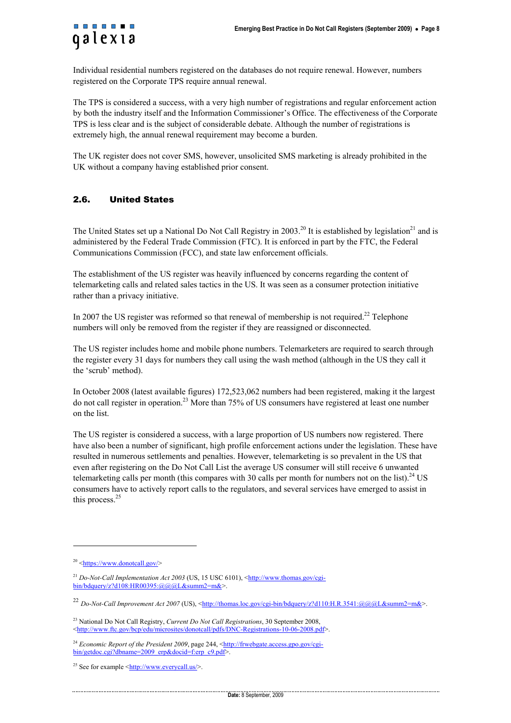<span id="page-7-0"></span>

Individual residential numbers registered on the databases do not require renewal. However, numbers registered on the Corporate TPS require annual renewal.

The TPS is considered a success, with a very high number of registrations and regular enforcement action by both the industry itself and the Information Commissioner's Office. The effectiveness of the Corporate TPS is less clear and is the subject of considerable debate. Although the number of registrations is extremely high, the annual renewal requirement may become a burden.

The UK register does not cover SMS, however, unsolicited SMS marketing is already prohibited in the UK without a company having established prior consent.

#### 2.6. United States

The United States set up a National Do Not Call Registry in 2003.<sup>20</sup> It is established by legislation<sup>21</sup> and is administered by the Federal Trade Commission (FTC). It is enforced in part by the FTC, the Federal Communications Commission (FCC), and state law enforcement officials.

The establishment of the US register was heavily influenced by concerns regarding the content of telemarketing calls and related sales tactics in the US. It was seen as a consumer protection initiative rather than a privacy initiative.

In 2007 the US register was reformed so that renewal of membership is not required.<sup>22</sup> Telephone numbers will only be removed from the register if they are reassigned or disconnected.

The US register includes home and mobile phone numbers. Telemarketers are required to search through the register every 31 days for numbers they call using the wash method (although in the US they call it the 'scrub' method).

In October 2008 (latest available figures) 172,523,062 numbers had been registered, making it the largest do not call register in operation.23 More than 75% of US consumers have registered at least one number on the list.

The US register is considered a success, with a large proportion of US numbers now registered. There have also been a number of significant, high profile enforcement actions under the legislation. These have resulted in numerous settlements and penalties. However, telemarketing is so prevalent in the US that even after registering on the Do Not Call List the average US consumer will still receive 6 unwanted telemarketing calls per month (this compares with 30 calls per month for numbers not on the list).<sup>24</sup> US consumers have to actively report calls to the regulators, and several services have emerged to assist in this process. $25$ 

l

 $20$  <https://www.donotcall.gov/>

<sup>&</sup>lt;sup>21</sup> *Do-Not-Call Implementation Act 2003* (US, 15 USC 6101), <http://www.thomas.gov/cgibin/bdquery/z?d108:HR00395:@@@L&summ2=m&>.

<sup>&</sup>lt;sup>22</sup> *Do-Not-Call Improvement Act 2007* (US), <http://thomas.loc.gov/cgi-bin/bdquery/z?d110:H.R.3541:@@@L&summ2=m&>.

<sup>23</sup> National Do Not Call Registry, *Current Do Not Call Registrations*, 30 September 2008, <http://www.ftc.gov/bcp/edu/microsites/donotcall/pdfs/DNC-Registrations-10-06-2008.pdf>.

<sup>&</sup>lt;sup>24</sup> *Economic Report of the President 2009*, page 244, <http://frwebgate.access.gpo.gov/cgibin/getdoc.cgi?dbname=2009\_erp&docid=f:erp\_c9.pdf>.

<sup>&</sup>lt;sup>25</sup> See for example  $\langle \frac{http://www.everycall.us/>}{http://www.everycall.us/>}.$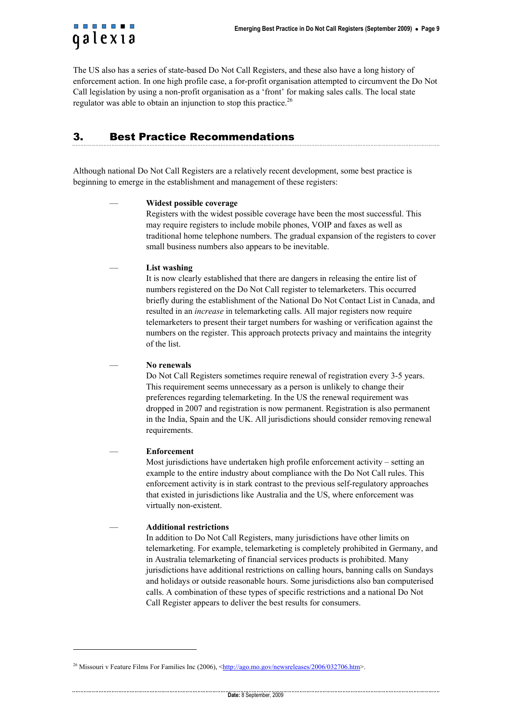<span id="page-8-0"></span>

The US also has a series of state-based Do Not Call Registers, and these also have a long history of enforcement action. In one high profile case, a for-profit organisation attempted to circumvent the Do Not Call legislation by using a non-profit organisation as a 'front' for making sales calls. The local state regulator was able to obtain an injunction to stop this practice.<sup>26</sup>

# 3. Best Practice Recommendations

Although national Do Not Call Registers are a relatively recent development, some best practice is beginning to emerge in the establishment and management of these registers:

#### — **Widest possible coverage**

Registers with the widest possible coverage have been the most successful. This may require registers to include mobile phones, VOIP and faxes as well as traditional home telephone numbers. The gradual expansion of the registers to cover small business numbers also appears to be inevitable.

— **List washing** 

It is now clearly established that there are dangers in releasing the entire list of numbers registered on the Do Not Call register to telemarketers. This occurred briefly during the establishment of the National Do Not Contact List in Canada, and resulted in an *increase* in telemarketing calls. All major registers now require telemarketers to present their target numbers for washing or verification against the numbers on the register. This approach protects privacy and maintains the integrity of the list.

— **No renewals** 

Do Not Call Registers sometimes require renewal of registration every 3-5 years. This requirement seems unnecessary as a person is unlikely to change their preferences regarding telemarketing. In the US the renewal requirement was dropped in 2007 and registration is now permanent. Registration is also permanent in the India, Spain and the UK. All jurisdictions should consider removing renewal requirements.

#### — **Enforcement**

l

Most jurisdictions have undertaken high profile enforcement activity – setting an example to the entire industry about compliance with the Do Not Call rules. This enforcement activity is in stark contrast to the previous self-regulatory approaches that existed in jurisdictions like Australia and the US, where enforcement was virtually non-existent.

#### — **Additional restrictions**

In addition to Do Not Call Registers, many jurisdictions have other limits on telemarketing. For example, telemarketing is completely prohibited in Germany, and in Australia telemarketing of financial services products is prohibited. Many jurisdictions have additional restrictions on calling hours, banning calls on Sundays and holidays or outside reasonable hours. Some jurisdictions also ban computerised calls. A combination of these types of specific restrictions and a national Do Not Call Register appears to deliver the best results for consumers.

<sup>&</sup>lt;sup>26</sup> Missouri v Feature Films For Families Inc (2006), <http://ago.mo.gov/newsreleases/2006/032706.htm>.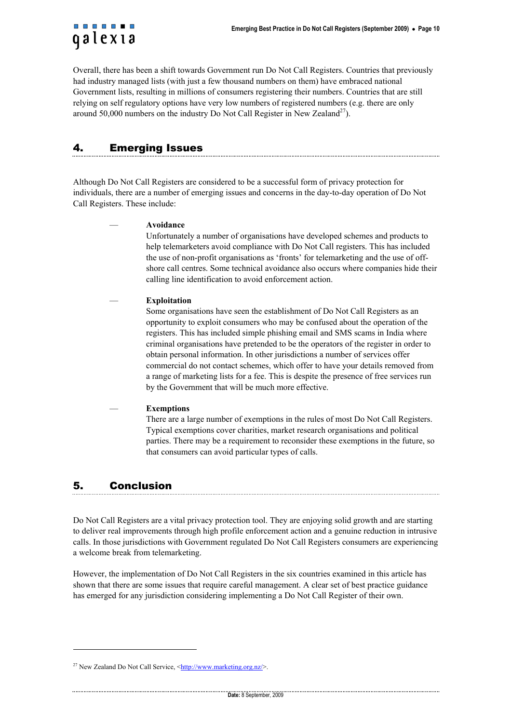<span id="page-9-0"></span>Overall, there has been a shift towards Government run Do Not Call Registers. Countries that previously had industry managed lists (with just a few thousand numbers on them) have embraced national Government lists, resulting in millions of consumers registering their numbers. Countries that are still relying on self regulatory options have very low numbers of registered numbers (e.g. there are only around 50,000 numbers on the industry Do Not Call Register in New Zealand<sup>27</sup>).

# 4. Emerging Issues

Although Do Not Call Registers are considered to be a successful form of privacy protection for individuals, there are a number of emerging issues and concerns in the day-to-day operation of Do Not Call Registers. These include:

#### — **Avoidance**

Unfortunately a number of organisations have developed schemes and products to help telemarketers avoid compliance with Do Not Call registers. This has included the use of non-profit organisations as 'fronts' for telemarketing and the use of offshore call centres. Some technical avoidance also occurs where companies hide their calling line identification to avoid enforcement action.

#### — **Exploitation**

Some organisations have seen the establishment of Do Not Call Registers as an opportunity to exploit consumers who may be confused about the operation of the registers. This has included simple phishing email and SMS scams in India where criminal organisations have pretended to be the operators of the register in order to obtain personal information. In other jurisdictions a number of services offer commercial do not contact schemes, which offer to have your details removed from a range of marketing lists for a fee. This is despite the presence of free services run by the Government that will be much more effective.

#### — **Exemptions**

There are a large number of exemptions in the rules of most Do Not Call Registers. Typical exemptions cover charities, market research organisations and political parties. There may be a requirement to reconsider these exemptions in the future, so that consumers can avoid particular types of calls.

# 5. Conclusion

l

Do Not Call Registers are a vital privacy protection tool. They are enjoying solid growth and are starting to deliver real improvements through high profile enforcement action and a genuine reduction in intrusive calls. In those jurisdictions with Government regulated Do Not Call Registers consumers are experiencing a welcome break from telemarketing.

However, the implementation of Do Not Call Registers in the six countries examined in this article has shown that there are some issues that require careful management. A clear set of best practice guidance has emerged for any jurisdiction considering implementing a Do Not Call Register of their own.

<sup>&</sup>lt;sup>27</sup> New Zealand Do Not Call Service,  $\frac{\text{thttp}}{\text{with}}$  //www.marketing.org.nz/>.